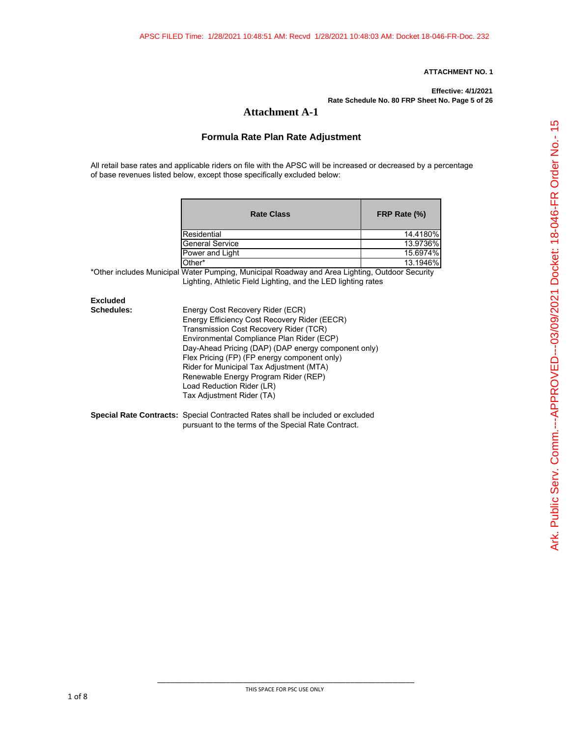**Effective: 4/1/2021 Rate Schedule No. 80 FRP Sheet No. Page 5 of 26**

# **Attachment A-1**

# **Formula Rate Plan Rate Adjustment**

All retail base rates and applicable riders on file with the APSC will be increased or decreased by a percentage of base revenues listed below, except those specifically excluded below:

| <b>Rate Class</b>      | FRP Rate (%) |
|------------------------|--------------|
| Residential            | 14.4180%     |
| <b>General Service</b> | 13.9736%     |
| Power and Light        | 15.6974%     |
| Other*                 | 13.1946%     |

\*Other includes Municipal Water Pumping, Municipal Roadway and Area Lighting, Outdoor Security Lighting, Athletic Field Lighting, and the LED lighting rates

# **Excluded**

| <b>Schedules:</b> | Energy Cost Recovery Rider (ECR)                                               |  |  |  |  |  |
|-------------------|--------------------------------------------------------------------------------|--|--|--|--|--|
|                   | Energy Efficiency Cost Recovery Rider (EECR)                                   |  |  |  |  |  |
|                   | Transmission Cost Recovery Rider (TCR)                                         |  |  |  |  |  |
|                   | Environmental Compliance Plan Rider (ECP)                                      |  |  |  |  |  |
|                   | Day-Ahead Pricing (DAP) (DAP energy component only)                            |  |  |  |  |  |
|                   | Flex Pricing (FP) (FP energy component only)                                   |  |  |  |  |  |
|                   | Rider for Municipal Tax Adjustment (MTA)                                       |  |  |  |  |  |
|                   | Renewable Energy Program Rider (REP)                                           |  |  |  |  |  |
|                   | Load Reduction Rider (LR)                                                      |  |  |  |  |  |
|                   | Tax Adjustment Rider (TA)                                                      |  |  |  |  |  |
|                   | Special Rate Contracts: Special Contracted Rates shall be included or excluded |  |  |  |  |  |
|                   | pursuant to the terms of the Special Rate Contract.                            |  |  |  |  |  |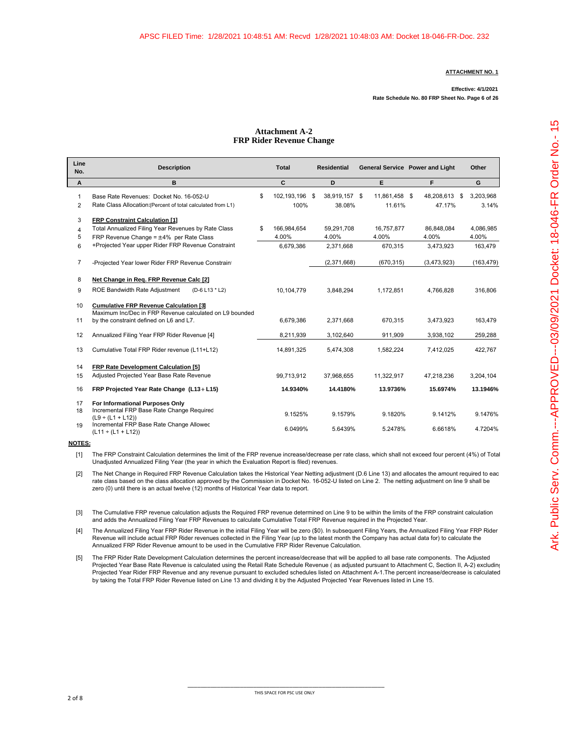#### **Effective: 4/1/2021 Rate Schedule No. 80 FRP Sheet No. Page 6 of 26**

#### **Attachment A-2 FRP Rider Revenue Change**

| Line<br>No.                    | <b>Description</b>                                                                                                                                  | <b>Total</b>                 | <b>Residential</b>      |                         | General Service Power and Light | Other                    |
|--------------------------------|-----------------------------------------------------------------------------------------------------------------------------------------------------|------------------------------|-------------------------|-------------------------|---------------------------------|--------------------------|
| A                              | в                                                                                                                                                   | C                            | D                       | E.                      | F.                              | G                        |
| $\mathbf{1}$<br>$\overline{2}$ | Base Rate Revenues: Docket No. 16-052-U<br>Rate Class Allocation: (Percent of total calculated from L1)                                             | \$<br>102,193,196 \$<br>100% | 38,919,157 \$<br>38.08% | 11,861,458 \$<br>11.61% | 48,208,613<br>47.17%            | \$<br>3,203,968<br>3.14% |
| 3<br>4<br>5                    | <b>FRP Constraint Calculation [1]</b><br>Total Annualized Filing Year Revenues by Rate Class<br>FRP Revenue Change = $\pm 4\%$ per Rate Class       | \$<br>166,984,654<br>4.00%   | 59,291,708<br>4.00%     | 16,757,877<br>4.00%     | 86,848,084<br>4.00%             | 4,086,985<br>4.00%       |
| 6                              | +Projected Year upper Rider FRP Revenue Constraint                                                                                                  | 6.679.386                    | 2.371.668               | 670.315                 | 3,473,923                       | 163,479                  |
| $\overline{7}$                 | -Projected Year lower Rider FRP Revenue Constraint                                                                                                  |                              | (2,371,668)             | (670, 315)              | (3,473,923)                     | (163, 479)               |
| 8<br>9                         | Net Change in Reg. FRP Revenue Calc [2]<br>ROE Bandwidth Rate Adjustment<br>(D-6 L13 * L2)                                                          | 10,104,779                   | 3.848.294               | 1,172,851               | 4.766.828                       | 316,806                  |
| 10<br>11                       | <b>Cumulative FRP Revenue Calculation [3]</b><br>Maximum Inc/Dec in FRP Revenue calculated on L9 bounded<br>by the constraint defined on L6 and L7. | 6,679,386                    | 2,371,668               | 670,315                 | 3,473,923                       | 163,479                  |
| 12                             | Annualized Filing Year FRP Rider Revenue [4]                                                                                                        | 8,211,939                    | 3,102,640               | 911,909                 | 3,938,102                       | 259,288                  |
| 13                             | Cumulative Total FRP Rider revenue (L11+L12)                                                                                                        | 14,891,325                   | 5,474,308               | 1,582,224               | 7,412,025                       | 422,767                  |
| 14<br>15                       | FRP Rate Development Calculation [5]<br>Adjusted Projected Year Base Rate Revenue                                                                   | 99,713,912                   | 37,968,655              | 11,322,917              | 47,218,236                      | 3,204,104                |
| 16                             | FRP Projected Year Rate Change (L13 ÷ L15)                                                                                                          | 14.9340%                     | 14.4180%                | 13.9736%                | 15.6974%                        | 13.1946%                 |
| 17<br>18<br>19                 | For Informational Purposes Only<br>Incremental FRP Base Rate Change Required<br>$(L9 \div (L1 + L12))$<br>Incremental FRP Base Rate Change Allowed  | 9.1525%<br>6.0499%           | 9.1579%<br>5.6439%      | 9.1820%<br>5.2478%      | 9.1412%<br>6.6618%              | 9.1476%<br>4.7204%       |
|                                | $(L11 \div (L1 + L12))$                                                                                                                             |                              |                         |                         |                                 |                          |

**NOTES:**

[1] The FRP Constraint Calculation determines the limit of the FRP revenue increase/decrease per rate class, which shall not exceed four percent (4%) of Total Unadjusted Annualized Filing Year (the year in which the Evaluation Report is filed) revenues.

[2] The Net Change in Required FRP Revenue Calculation takes the Historical Year Netting adjustment (D.6 Line 13) and allocates the amount required to eac rate class based on the class allocation approved by the Commission in Docket No. 16-052-U listed on Line 2. The netting adjustment on line 9 shall be zero (0) until there is an actual twelve (12) months of Historical Year data to report.

[3] The Cumulative FRP revenue calculation adjusts the Required FRP revenue determined on Line 9 to be within the limits of the FRP constraint calculation and adds the Annualized Filing Year FRP Revenues to calculate Cumulative Total FRP Revenue required in the Projected Year.

[4] The Annualized Filing Year FRP Rider Revenue in the initial Filing Year will be zero (\$0). In subsequent Filing Years, the Annualized Filing Year FRP Rider Revenue will include actual FRP Rider revenues collected in the Filing Year (up to the latest month the Company has actual data for) to calculate the Annualized FRP Rider Revenue amount to be used in the Cumulative FRP Rider Revenue Calculation.

[5] The FRP Rider Rate Development Calculation determines the percent increase/decrease that will be applied to all base rate components. The Adjusted Projected Year Base Rate Revenue is calculated using the Retail Rate Schedule Revenue (as adjusted pursuant to Attachment C, Section II, A-2) excluding Projected Year Rider FRP Revenue and any revenue pursuant to excluded schedules listed on Attachment A-1.The percent increase/decrease is calculated by taking the Total FRP Rider Revenue listed on Line 13 and dividing it by the Adjusted Projected Year Revenues listed in Line 15.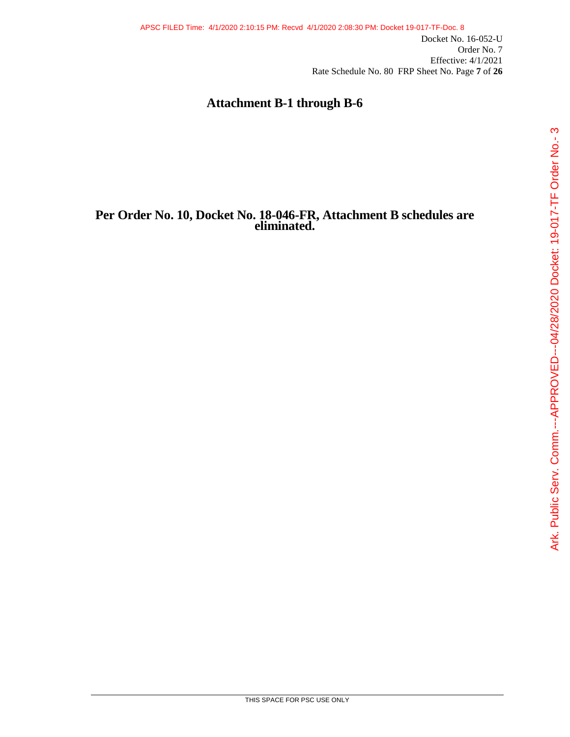# **Attachment B-1 through B-6**

# **Per Order No. 10, Docket No. 18-046-FR, Attachment B schedules are eliminated.**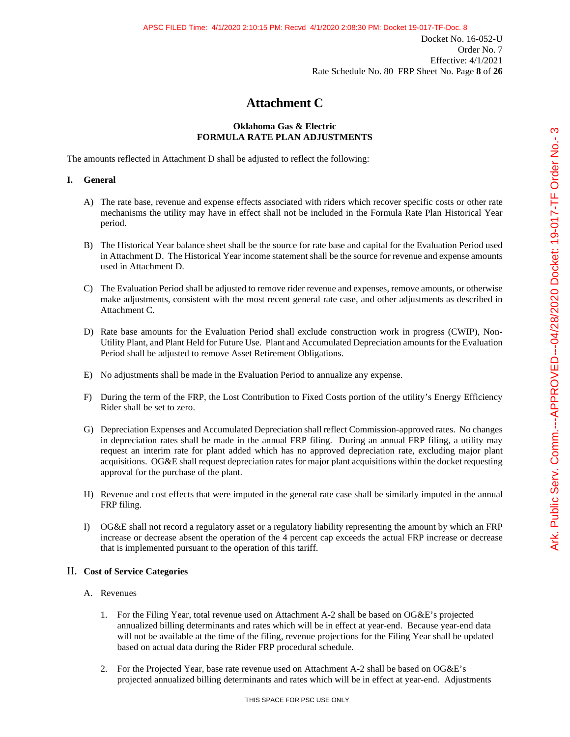Docket No. 16-052-U Order No. 7 Effective: 4/1/2021 Rate Schedule No. 80 FRP Sheet No. Page **8** of **26**

# **Attachment C**

## **Oklahoma Gas & Electric FORMULA RATE PLAN ADJUSTMENTS**

The amounts reflected in Attachment D shall be adjusted to reflect the following:

## **I. General**

- A) The rate base, revenue and expense effects associated with riders which recover specific costs or other rate mechanisms the utility may have in effect shall not be included in the Formula Rate Plan Historical Year period.
- B) The Historical Year balance sheet shall be the source for rate base and capital for the Evaluation Period used in Attachment D. The Historical Year income statement shall be the source for revenue and expense amounts used in Attachment D.
- C) The Evaluation Period shall be adjusted to remove rider revenue and expenses, remove amounts, or otherwise make adjustments, consistent with the most recent general rate case, and other adjustments as described in Attachment C.
- D) Rate base amounts for the Evaluation Period shall exclude construction work in progress (CWIP), Non-Utility Plant, and Plant Held for Future Use. Plant and Accumulated Depreciation amounts for the Evaluation Period shall be adjusted to remove Asset Retirement Obligations.
- E) No adjustments shall be made in the Evaluation Period to annualize any expense.
- F) During the term of the FRP, the Lost Contribution to Fixed Costs portion of the utility's Energy Efficiency Rider shall be set to zero.
- G) Depreciation Expenses and Accumulated Depreciation shall reflect Commission-approved rates. No changes in depreciation rates shall be made in the annual FRP filing. During an annual FRP filing, a utility may request an interim rate for plant added which has no approved depreciation rate, excluding major plant acquisitions. OG&E shall request depreciation rates for major plant acquisitions within the docket requesting approval for the purchase of the plant.
- H) Revenue and cost effects that were imputed in the general rate case shall be similarly imputed in the annual FRP filing.
- I) OG&E shall not record a regulatory asset or a regulatory liability representing the amount by which an FRP increase or decrease absent the operation of the 4 percent cap exceeds the actual FRP increase or decrease that is implemented pursuant to the operation of this tariff.

# II. **Cost of Service Categories**

- A. Revenues
	- 1. For the Filing Year, total revenue used on Attachment A-2 shall be based on OG&E's projected annualized billing determinants and rates which will be in effect at year-end. Because year-end data will not be available at the time of the filing, revenue projections for the Filing Year shall be updated based on actual data during the Rider FRP procedural schedule.
	- 2. For the Projected Year, base rate revenue used on Attachment A-2 shall be based on OG&E's projected annualized billing determinants and rates which will be in effect at year-end. Adjustments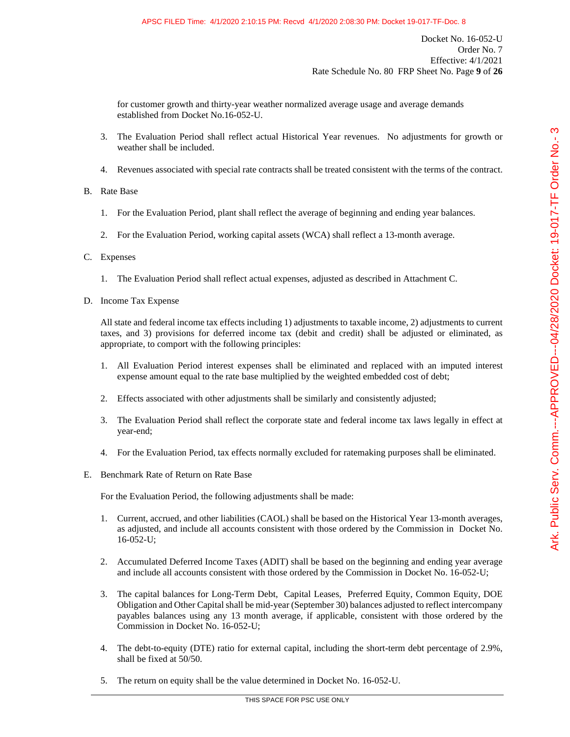for customer growth and thirty-year weather normalized average usage and average demands established from Docket No.16-052-U.

- 3. The Evaluation Period shall reflect actual Historical Year revenues. No adjustments for growth or weather shall be included.
- 4. Revenues associated with special rate contracts shall be treated consistent with the terms of the contract.

# B. Rate Base

- 1. For the Evaluation Period, plant shall reflect the average of beginning and ending year balances.
- 2. For the Evaluation Period, working capital assets (WCA) shall reflect a 13-month average.

# C. Expenses

- 1. The Evaluation Period shall reflect actual expenses, adjusted as described in Attachment C.
- D. Income Tax Expense

All state and federal income tax effects including 1) adjustments to taxable income, 2) adjustments to current taxes, and 3) provisions for deferred income tax (debit and credit) shall be adjusted or eliminated, as appropriate, to comport with the following principles:

- 1. All Evaluation Period interest expenses shall be eliminated and replaced with an imputed interest expense amount equal to the rate base multiplied by the weighted embedded cost of debt;
- 2. Effects associated with other adjustments shall be similarly and consistently adjusted;
- 3. The Evaluation Period shall reflect the corporate state and federal income tax laws legally in effect at year-end;
- 4. For the Evaluation Period, tax effects normally excluded for ratemaking purposes shall be eliminated.
- E. Benchmark Rate of Return on Rate Base

For the Evaluation Period, the following adjustments shall be made:

- 1. Current, accrued, and other liabilities (CAOL) shall be based on the Historical Year 13-month averages, as adjusted, and include all accounts consistent with those ordered by the Commission in Docket No. 16-052-U;
- 2. Accumulated Deferred Income Taxes (ADIT) shall be based on the beginning and ending year average and include all accounts consistent with those ordered by the Commission in Docket No. 16-052-U;
- 3. The capital balances for Long-Term Debt, Capital Leases, Preferred Equity, Common Equity, DOE Obligation and Other Capital shall be mid-year (September 30) balances adjusted to reflect intercompany payables balances using any 13 month average, if applicable, consistent with those ordered by the Commission in Docket No. 16-052-U;
- 4. The debt-to-equity (DTE) ratio for external capital, including the short-term debt percentage of 2.9%, shall be fixed at 50/50.
- 5. The return on equity shall be the value determined in Docket No. 16-052-U.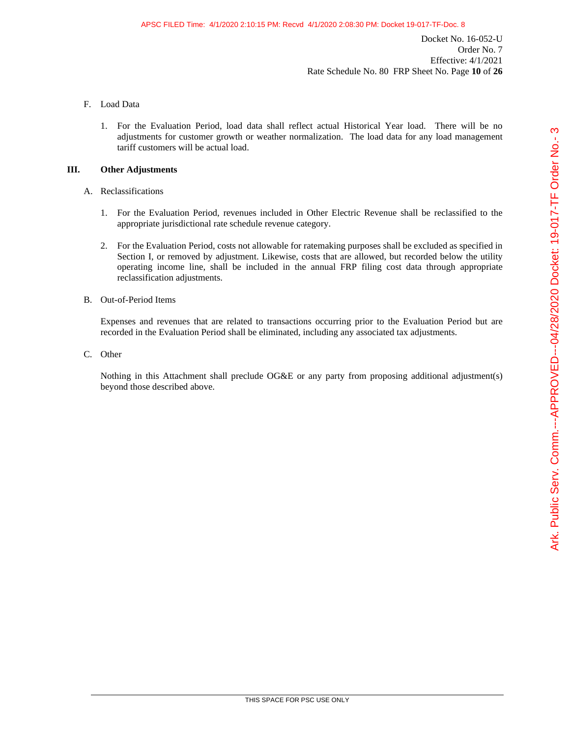- F. Load Data
	- 1. For the Evaluation Period, load data shall reflect actual Historical Year load. There will be no adjustments for customer growth or weather normalization. The load data for any load management tariff customers will be actual load.

# **III. Other Adjustments**

- A. Reclassifications
	- 1. For the Evaluation Period, revenues included in Other Electric Revenue shall be reclassified to the appropriate jurisdictional rate schedule revenue category.
	- 2. For the Evaluation Period, costs not allowable for ratemaking purposes shall be excluded as specified in Section I, or removed by adjustment. Likewise, costs that are allowed, but recorded below the utility operating income line, shall be included in the annual FRP filing cost data through appropriate reclassification adjustments.
- B. Out-of-Period Items

Expenses and revenues that are related to transactions occurring prior to the Evaluation Period but are recorded in the Evaluation Period shall be eliminated, including any associated tax adjustments.

C. Other

Nothing in this Attachment shall preclude OG&E or any party from proposing additional adjustment(s) beyond those described above.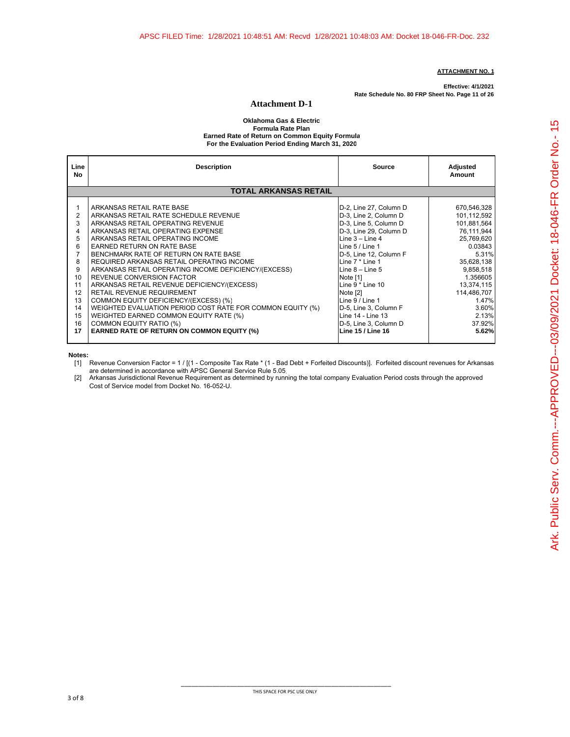**Effective: 4/1/2021 Rate Schedule No. 80 FRP Sheet No. Page 11 of 26**

#### **Attachment D-1**

#### **Oklahoma Gas & Electric Formula Rate Plan Earned Rate of Return on Common Equity Formula**

**For the Evaluation Period Ending March 31, 2020**

| Line<br><b>No</b>                                                                                      | <b>Description</b>                                                                                                                                                                                                                                                                                                                                                                                                                                                                                                                                                                                                                                                                                                           | <b>Source</b>                                                                                                                                                                                                                                                                                                                                                                 | Adjusted<br>Amount                                                                                                                                                                                          |
|--------------------------------------------------------------------------------------------------------|------------------------------------------------------------------------------------------------------------------------------------------------------------------------------------------------------------------------------------------------------------------------------------------------------------------------------------------------------------------------------------------------------------------------------------------------------------------------------------------------------------------------------------------------------------------------------------------------------------------------------------------------------------------------------------------------------------------------------|-------------------------------------------------------------------------------------------------------------------------------------------------------------------------------------------------------------------------------------------------------------------------------------------------------------------------------------------------------------------------------|-------------------------------------------------------------------------------------------------------------------------------------------------------------------------------------------------------------|
|                                                                                                        | TOTAL ARKANSAS RETAIL                                                                                                                                                                                                                                                                                                                                                                                                                                                                                                                                                                                                                                                                                                        |                                                                                                                                                                                                                                                                                                                                                                               |                                                                                                                                                                                                             |
| 1<br>2<br>3<br>4<br>5<br>6<br>$\overline{7}$<br>8<br>9<br>10<br>11<br>12<br>13<br>14<br>15<br>16<br>17 | ARKANSAS RETAIL RATE BASE<br>ARKANSAS RETAIL RATE SCHEDULE REVENUE<br>ARKANSAS RETAIL OPERATING REVENUE<br>ARKANSAS RETAIL OPERATING EXPENSE<br>ARKANSAS RETAIL OPERATING INCOME<br><b>EARNED RETURN ON RATE BASE</b><br>BENCHMARK RATE OF RETURN ON RATE BASE<br>REQUIRED ARKANSAS RETAIL OPERATING INCOME<br>ARKANSAS RETAIL OPERATING INCOME DEFICIENCY/(EXCESS)<br>REVENUE CONVERSION FACTOR<br>ARKANSAS RETAIL REVENUE DEFICIENCY/(EXCESS)<br><b>RETAIL REVENUE REQUIREMENT</b><br>COMMON EQUITY DEFICIENCY/(EXCESS) (%)<br>WEIGHTED EVALUATION PERIOD COST RATE FOR COMMON EQUITY (%)<br>WEIGHTED EARNED COMMON EQUITY RATE (%)<br><b>COMMON EQUITY RATIO (%)</b><br><b>EARNED RATE OF RETURN ON COMMON EQUITY (%)</b> | D-2, Line 27, Column D<br>D-3, Line 2, Column D<br>D-3, Line 5, Column D<br>D-3, Line 29, Column D<br>Line $3 -$ Line 4<br>Line $5/$ Line 1<br>D-5, Line 12, Column F<br>Line 7 * Line 1<br>Line $8 -$ Line $5$<br>Note [1]<br>Line $9 *$ Line 10<br>Note [2]<br>Line $9/$ Line 1<br>D-5, Line 3, Column F<br>Line 14 - Line 13<br>D-5, Line 3, Column D<br>Line 15 / Line 16 | 670,546,328<br>101,112,592<br>101,881,564<br>76,111,944<br>25,769,620<br>0.03843<br>5.31%<br>35,628,138<br>9,858,518<br>1.356605<br>13,374,115<br>114,486,707<br>1.47%<br>3.60%<br>2.13%<br>37.92%<br>5.62% |

**Notes:**

[1] Revenue Conversion Factor = 1 / [(1 - Composite Tax Rate \* (1 - Bad Debt + Forfeited Discounts)]. Forfeited discount revenues for Arkansas are determined in accordance with APSC General Service Rule 5.05.

[2] Arkansas Jurisdictional Revenue Requirement as determined by running the total company Evaluation Period costs through the approved Cost of Service model from Docket No. 16-052-U.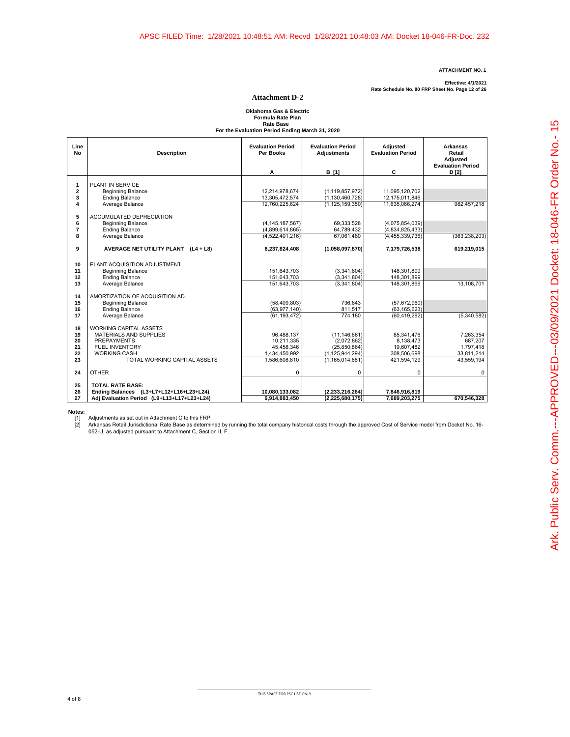**Effective: 4/1/2021 Rate Schedule No. 80 FRP Sheet No. Page 12 of 26**

#### **Attachment D-2**

# **Formula Rate Plan Rate Base For the Evaluation Period Ending March 31, 2020 Oklahoma Gas & Electric**

| Line<br><b>No</b>       | <b>Description</b>                         | <b>Evaluation Period</b><br>Per Books | <b>Evaluation Period</b><br><b>Adjustments</b> | Adjusted<br><b>Evaluation Period</b> | <b>Arkansas</b><br>Retail<br>Adjusted<br><b>Evaluation Period</b> |
|-------------------------|--------------------------------------------|---------------------------------------|------------------------------------------------|--------------------------------------|-------------------------------------------------------------------|
|                         |                                            | Α                                     | <b>B</b> [1]                                   | C                                    | D [2]                                                             |
| 1                       | PLANT IN SERVICE                           |                                       |                                                |                                      |                                                                   |
| $\overline{\mathbf{2}}$ | <b>Beginning Balance</b>                   | 12,214,978,674                        | (1, 119, 857, 972)                             | 11,095,120,702                       |                                                                   |
| 3                       | <b>Ending Balance</b>                      | 13,305,472,574                        | (1, 130, 460, 728)                             | 12,175,011,846                       |                                                                   |
| 4                       | Average Balance                            | 12,760,225,624                        | (1, 125, 159, 350)                             | 11,635,066,274                       | 982,457,218                                                       |
| 5                       | ACCUMULATED DEPRECIATION                   |                                       |                                                |                                      |                                                                   |
| 6                       | <b>Beginning Balance</b>                   | (4, 145, 187, 567)                    | 69,333,528                                     | (4,075,854,039)                      |                                                                   |
| $\overline{7}$          | <b>Ending Balance</b>                      | (4,899,614,865)                       | 64,789,432                                     | (4,834,825,433)                      |                                                                   |
| 8                       | Average Balance                            | (4,522,401,216)                       | 67.061.480                                     | (4,455,339,736)                      | (363, 238, 203)                                                   |
| 9                       | AVERAGE NET UTILITY PLANT (L4 + L8)        | 8,237,824,408                         | (1,058,097,870)                                | 7,179,726,538                        | 619,219,015                                                       |
| 10                      | PLANT ACQUISITION ADJUSTMENT               |                                       |                                                |                                      |                                                                   |
| 11                      | <b>Beginning Balance</b>                   | 151.643.703                           | (3.341.804)                                    | 148.301.899                          |                                                                   |
| 12                      | <b>Ending Balance</b>                      | 151,643,703                           | (3,341,804)                                    | 148,301,899                          |                                                                   |
| 13                      | Average Balance                            | 151.643.703                           | (3.341.804)                                    | 148.301.899                          | 13.108.701                                                        |
| 14                      | AMORTIZATION OF ACQUISITION AD.            |                                       |                                                |                                      |                                                                   |
| 15                      | <b>Beginning Balance</b>                   | (58, 409, 803)                        | 736,843                                        | (57,672,960)                         |                                                                   |
| 16                      | <b>Ending Balance</b>                      | (63, 977, 140)                        | 811,517                                        | (63, 165, 623)                       |                                                                   |
| 17                      | Average Balance                            | (61, 193, 472)                        | 774,180                                        | (60, 419, 292)                       | (5,340,582)                                                       |
| 18                      | <b>WORKING CAPITAL ASSETS</b>              |                                       |                                                |                                      |                                                                   |
| 19                      | <b>MATERIALS AND SUPPLIES</b>              | 96,488,137                            | (11, 146, 661)                                 | 85,341,476                           | 7,263,354                                                         |
| 20                      | <b>PREPAYMENTS</b>                         | 10,211,335                            | (2,072,862)                                    | 8,138,473                            | 687.207                                                           |
| 21                      | <b>FUEL INVENTORY</b>                      | 45,458,346                            | (25, 850, 864)                                 | 19,607,482                           | 1,797,418                                                         |
| 22                      | <b>WORKING CASH</b>                        | 1,434,450,992                         | (1, 125, 944, 294)                             | 308,506,698                          | 33,811,214                                                        |
| 23                      | TOTAL WORKING CAPITAL ASSETS               | 1,586,608,810                         | (1, 165, 014, 681)                             | 421.594.129                          | 43,559,194                                                        |
| 24                      | <b>OTHER</b>                               | 0                                     | 0                                              | 0                                    | 0                                                                 |
| 25                      | <b>TOTAL RATE BASE:</b>                    |                                       |                                                |                                      |                                                                   |
| 26                      | Ending Balances (L3+L7+L12+L16+L23+L24)    | 10,080,133,082                        | (2,233,216,264)                                | 7,846,916,819                        |                                                                   |
| 27                      | Adj Evaluation Period (L9+L13+L17+L23+L24) | 9,914,883,450                         | (2, 225, 680, 175)                             | 7,689,203,275                        | 670,546,328                                                       |

**Notes:**

Adjustments as set out in Attachment C to this FRP.

 $\overline{[2]}$ Arkansas Retail Jurisdictional Rate Base as determined by running the total company historical costs through the approved Cost of Service model from Docket No. 16-<br>052-U, as adjusted pursuant to Attachment C, Section II, F

\_\_\_\_\_\_\_\_\_\_\_\_\_\_\_\_\_\_\_\_\_\_\_\_\_\_\_\_\_\_\_\_\_\_\_\_\_\_\_\_\_\_\_\_\_\_\_\_\_\_\_\_\_\_\_\_\_\_\_\_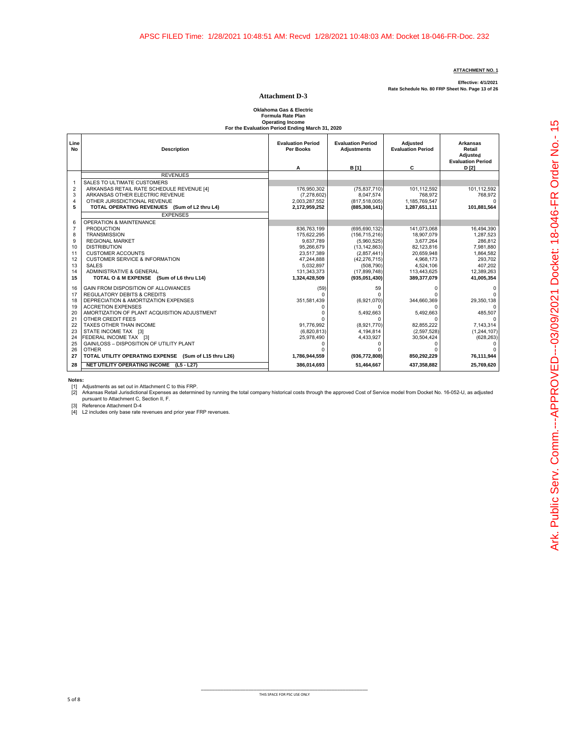**Effective: 4/1/2021 Rate Schedule No. 80 FRP Sheet No. Page 13 of 26**

#### **Attachment D-3**

**Formula Rate Plan Oklahoma Gas & Electric Operating Income For the Evaluation Period Ending March 31, 2020**

| Line<br>No     | <b>Description</b>                                    | <b>Evaluation Period</b><br>Per Books | <b>Evaluation Period</b><br><b>Adjustments</b> | <b>Adjusted</b><br><b>Evaluation Period</b> | <b>Arkansas</b><br>Retail<br>Adjusted |
|----------------|-------------------------------------------------------|---------------------------------------|------------------------------------------------|---------------------------------------------|---------------------------------------|
|                |                                                       | А                                     | B [1]                                          | C                                           | <b>Evaluation Period</b><br>D [2]     |
|                | <b>REVENUES</b>                                       |                                       |                                                |                                             |                                       |
| $\mathbf{1}$   | SALES TO ULTIMATE CUSTOMERS                           |                                       |                                                |                                             |                                       |
| $\overline{2}$ | ARKANSAS RETAIL RATE SCHEDULE REVENUE [4]             | 176,950,302                           | (75, 837, 710)                                 | 101,112,592                                 | 101,112,592                           |
| 3              | ARKANSAS OTHER ELECTRIC REVENUE                       | (7, 278, 602)                         | 8,047,574                                      | 768.972                                     | 768,972                               |
| $\overline{4}$ | OTHER JURISDICTIONAL REVENUE                          | 2,003,287,552                         | (817, 518, 005)                                | 1,185,769,547                               | $\Omega$                              |
| 5              | TOTAL OPERATING REVENUES (Sum of L2 thru L4)          | 2,172,959,252                         | (885, 308, 141)                                | 1,287,651,111                               | 101,881,564                           |
|                | <b>EXPENSES</b>                                       |                                       |                                                |                                             |                                       |
| 6              | OPERATION & MAINTENANCE                               |                                       |                                                |                                             |                                       |
| $\overline{7}$ | <b>PRODUCTION</b>                                     | 836.763.199                           | (695, 690, 132)                                | 141.073.068                                 | 16.494.390                            |
| 8              | <b>TRANSMISSION</b>                                   | 175.622.295                           | (156, 715, 216)                                | 18.907.079                                  | 1.287.523                             |
| 9              | <b>REGIONAL MARKET</b><br><b>DISTRIBUTION</b>         | 9,637,789<br>95.266.679               | (5,960,525)                                    | 3,677,264<br>82.123.816                     | 286,812<br>7.981.880                  |
| 10<br>11       | <b>CUSTOMER ACCOUNTS</b>                              | 23,517,389                            | (13, 142, 863)<br>(2,857,441)                  | 20,659,948                                  | 1,864,582                             |
| 12             | <b>CUSTOMER SERVICE &amp; INFORMATION</b>             | 47,244,888                            | (42, 276, 715)                                 | 4,968,173                                   | 293.702                               |
| 13             | <b>SALES</b>                                          | 5,032,897                             | (508, 790)                                     | 4,524,106                                   | 407,202                               |
| 14             | ADMINISTRATIVE & GENERAL                              | 131,343,373                           | (17,899,748)                                   | 113,443,625                                 | 12,389,263                            |
| 15             | TOTAL O & M EXPENSE (Sum of L6 thru L14)              | 1.324.428.509                         | (935,051,430)                                  | 389.377.079                                 | 41,005,354                            |
| 16             | GAIN FROM DISPOSITION OF ALLOWANCES                   | (59)                                  | 59                                             | n                                           | $\Omega$                              |
| 17             | <b>REGULATORY DEBITS &amp; CREDITS</b>                |                                       |                                                |                                             | $\Omega$                              |
| 18             | DEPRECIATION & AMORTIZATION EXPENSES                  | 351,581,439                           | (6,921,070)                                    | 344.660.369                                 | 29,350,138                            |
| 19             | <b>ACCRETION EXPENSES</b>                             |                                       |                                                |                                             | $\Omega$                              |
| 20             | AMORTIZATION OF PLANT ACQUISITION ADJUSTMENT          |                                       | 5,492,663                                      | 5,492,663                                   | 485,507                               |
| 21             | OTHER CREDIT FEES                                     |                                       | n                                              |                                             | $\Omega$                              |
| 22             | TAXES OTHER THAN INCOME                               | 91,776,992                            | (8,921,770)                                    | 82,855,222                                  | 7,143,314                             |
| 23<br>24       | STATE INCOME TAX [3]<br>FEDERAL INCOME TAX [3]        | (6,820,813)<br>25,978,490             | 4,194,814<br>4,433,927                         | (2,597,528)<br>30,504,424                   | (1,244,107)<br>(628, 263)             |
| 25             | GAIN/LOSS - DISPOSITION OF UTILITY PLANT              | 0                                     | n                                              |                                             |                                       |
| 26             | <b>OTHER</b>                                          |                                       |                                                |                                             |                                       |
| 27             | TOTAL UTILITY OPERATING EXPENSE (Sum of L15 thru L26) | 1,786,944,559                         | (936, 772, 808)                                | 850,292,229                                 | 76,111,944                            |
| 28             | NET UTILITY OPERATING INCOME (L5 - L27)               | 386,014,693                           | 51,464,667                                     | 437.358.882                                 | 25.769.620                            |

**Notes:**<br>[1] Adjustments as set out in Attachment C to this FRP.<br>[2] Arkansas Retail Jurisdictional Expenses as determir Arkansas Retail Jurisdictional Expenses as determined by running the total company historical costs through the approved Cost of Service model from Docket No. 16-052-U, as adjusted<br>pursuant to Attachment C, Section II, F.

[3] Reference Attachment D-4 [4] L2 includes only base rate revenues and prior year FRP revenues.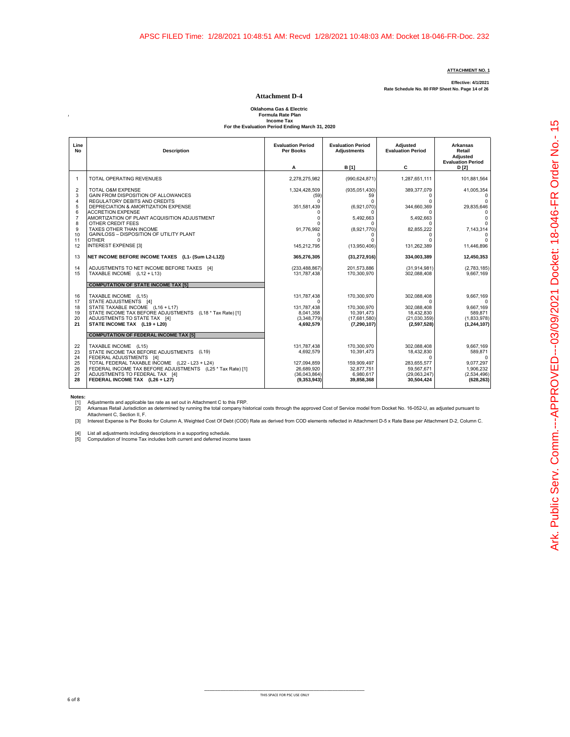**Effective: 4/1/2021 Rate Schedule No. 80 FRP Sheet No. Page 14 of 26**

#### **Attachment D-4**

# **Oklahoma Gas & Electric Formula Rate Plan Income Tax For the Evaluation Period Ending March 31, 2020**

| Line<br><b>No</b>        | <b>Description</b>                                                                                                                                                               | <b>Evaluation Period</b><br><b>Per Books</b>             | <b>Evaluation Period</b><br><b>Adjustments</b>       | Adjusted<br><b>Evaluation Period</b>                    | <b>Arkansas</b><br>Retail<br><b>Adjusted</b><br><b>Evaluation Period</b> |
|--------------------------|----------------------------------------------------------------------------------------------------------------------------------------------------------------------------------|----------------------------------------------------------|------------------------------------------------------|---------------------------------------------------------|--------------------------------------------------------------------------|
|                          |                                                                                                                                                                                  | A                                                        | <b>B</b> [1]                                         | C                                                       | D [2]                                                                    |
| $\mathbf{1}$             | TOTAL OPERATING REVENUES                                                                                                                                                         | 2,278,275,982                                            | (990, 624, 871)                                      | 1,287,651,111                                           | 101,881,564                                                              |
| $\overline{2}$<br>3      | <b>TOTAL O&amp;M EXPENSE</b><br>GAIN FROM DISPOSITION OF ALLOWANCES                                                                                                              | 1,324,428,509<br>(59)                                    | (935,051,430)<br>59                                  | 389, 377, 079<br>$\Omega$                               | 41,005,354                                                               |
| $\overline{4}$<br>5<br>6 | REGULATORY DEBITS AND CREDITS<br>DEPRECIATION & AMORTIZATION EXPENSE<br><b>ACCRETION EXPENSE</b>                                                                                 | $\Omega$<br>351,581,439                                  | $\Omega$<br>(6,921,070)                              | $\Omega$<br>344,660,369<br>$\Omega$                     | $\Omega$<br>29,835,646<br>$\Omega$                                       |
| $\overline{7}$<br>8      | AMORTIZATION OF PLANT ACQUISITION ADJUSTMENT<br>OTHER CREDIT FEES                                                                                                                |                                                          | 5,492,663<br>$\Omega$                                | 5,492,663<br>$\Omega$                                   | $\mathbf 0$<br>$\Omega$                                                  |
| 9<br>10<br>11            | TAXES OTHER THAN INCOME<br>GAIN/LOSS - DISPOSITION OF UTILITY PLANT<br><b>OTHER</b>                                                                                              | 91,776,992                                               | (8,921,770)<br>$\Omega$                              | 82,855,222<br>$\Omega$<br>$\Omega$                      | 7,143,314<br>0<br>$\Omega$                                               |
| 12                       | <b>INTEREST EXPENSE [3]</b>                                                                                                                                                      | 145,212,795                                              | (13,950,406)                                         | 131,262,389                                             | 11,446,896                                                               |
| 13                       | NET INCOME BEFORE INCOME TAXES (L1- (Sum L2-L12))                                                                                                                                | 365,276,305                                              | (31, 272, 916)                                       | 334,003,389                                             | 12,450,353                                                               |
| 14<br>15                 | ADJUSTMENTS TO NET INCOME BEFORE TAXES [4]<br>TAXABLE INCOME (L12 + L13)                                                                                                         | (233, 488, 867)<br>131,787,438                           | 201,573,886<br>170,300,970                           | (31, 914, 981)<br>302,088,408                           | (2,783,185)<br>9,667,169                                                 |
|                          | <b>COMPUTATION OF STATE INCOME TAX [5]</b>                                                                                                                                       |                                                          |                                                      |                                                         |                                                                          |
| 16<br>17                 | TAXABLE INCOME (L15)<br>STATE ADJUSTMENTS [4]                                                                                                                                    | 131,787,438                                              | 170,300,970                                          | 302,088,408<br>$\Omega$                                 | 9,667,169<br>0                                                           |
| 18<br>19                 | STATE TAXABLE INCOME (L16 + L17)<br>STATE INCOME TAX BEFORE ADJUSTMENTS (L18 * Tax Rate) [1]                                                                                     | 131.787.438<br>8.041.358                                 | 170.300.970<br>10,391,473                            | 302.088.408<br>18,432,830                               | 9.667.169<br>589.871                                                     |
| 20<br>21                 | ADJUSTMENTS TO STATE TAX [4]<br>STATE INCOME TAX (L19 + L20)                                                                                                                     | (3,348,779)<br>4,692,579                                 | (17,681,580)<br>(7, 290, 107)                        | (21,030,359)<br>(2,597,528)                             | (1,833,978)<br>(1, 244, 107)                                             |
|                          | <b>COMPUTATION OF FEDERAL INCOME TAX [5]</b>                                                                                                                                     |                                                          |                                                      |                                                         |                                                                          |
| 22<br>23<br>24           | TAXABLE INCOME (L15)<br>STATE INCOME TAX BEFORE ADJUSTMENTS (L19)<br>FEDERAL ADJUSTMENTS [4]                                                                                     | 131.787.438<br>4,692,579                                 | 170.300.970<br>10,391,473                            | 302.088.408<br>18,432,830<br>$\Omega$                   | 9.667.169<br>589,871<br>$\Omega$                                         |
| 25<br>26<br>27<br>28     | TOTAL FEDERAL TAXABLE INCOME (L22 - L23 + L24)<br>FEDERAL INCOME TAX BEFORE ADJUSTMENTS (L25 * Tax Rate) [1]<br>ADJUSTMENTS TO FEDERAL TAX [4]<br>FEDERAL INCOME TAX (L26 + L27) | 127,094,859<br>26,689,920<br>(36,043,864)<br>(9,353,943) | 159,909,497<br>32,877,751<br>6.980.617<br>39,858,368 | 283,655,577<br>59,567,671<br>(29,063,247)<br>30,504,424 | 9,077,297<br>1,906,232<br>(2,534,496)<br>(628, 263)                      |
|                          |                                                                                                                                                                                  |                                                          |                                                      |                                                         |                                                                          |

**Notes:**

A

[1] Adjustments and applicable tax rate as set out in Attachment C to this FRP.<br>[2] Aktansas Retail Jurisdiction as determined by running the total company historical costs through the approved Cost of Service model from D  $\begin{bmatrix} 1 \\ 2 \end{bmatrix}$ 

[3] Interest Expense is Per Books for Column A, Weighted Cost Of Debt (COD) Rate as derived from COD elements reflected in Attachment D-5 x Rate Base per Attachment D-2, Column C.

[4] List all adjustments including descriptions in a supporting schedule. [5] Computation of Income Tax includes both current and deferred income taxes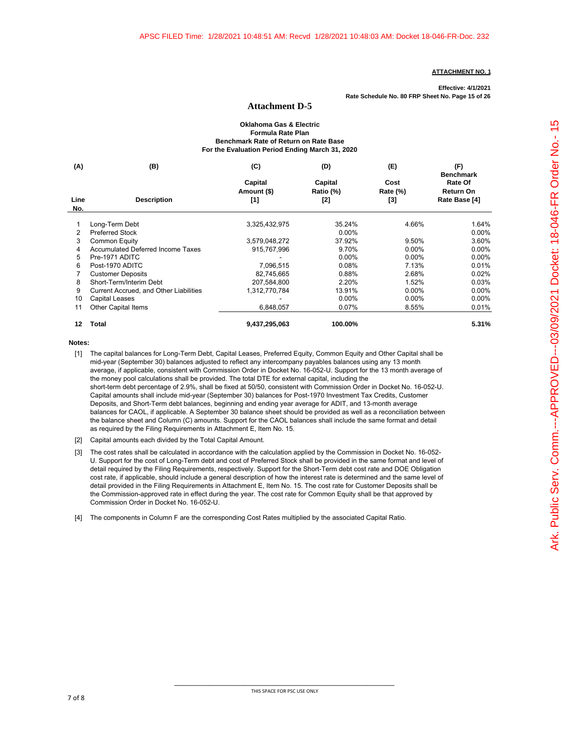**Effective: 4/1/2021 Rate Schedule No. 80 FRP Sheet No. Page 15 of 26**

#### **Attachment D-5**

#### **Oklahoma Gas & Electric Formula Rate Plan Benchmark Rate of Return on Rate Base For the Evaluation Period Ending March 31, 2020**

| (A)  | (B)                                           | (C)                           | (D)                         | (E)                        | (F)                                                              |
|------|-----------------------------------------------|-------------------------------|-----------------------------|----------------------------|------------------------------------------------------------------|
| Line | <b>Description</b>                            | Capital<br>Amount (\$)<br>[1] | Capital<br>Ratio (%)<br>[2] | Cost<br>Rate $(\%)$<br>[3] | <b>Benchmark</b><br>Rate Of<br><b>Return On</b><br>Rate Base [4] |
| No.  |                                               |                               |                             |                            |                                                                  |
|      |                                               |                               |                             |                            |                                                                  |
|      | Long-Term Debt                                | 3,325,432,975                 | 35.24%                      | 4.66%                      | 1.64%                                                            |
| 2    | <b>Preferred Stock</b>                        |                               | $0.00\%$                    |                            | $0.00\%$                                                         |
| 3    | <b>Common Equity</b>                          | 3,579,048,272                 | 37.92%                      | 9.50%                      | 3.60%                                                            |
| 4    | Accumulated Deferred Income Taxes             | 915,767,996                   | 9.70%                       | $0.00\%$                   | $0.00\%$                                                         |
| 5    | Pre-1971 ADITC                                |                               | 0.00%                       | 0.00%                      | $0.00\%$                                                         |
| 6    | Post-1970 ADITC                               | 7,096,515                     | 0.08%                       | 7.13%                      | 0.01%                                                            |
|      | <b>Customer Deposits</b>                      | 82,745,665                    | 0.88%                       | 2.68%                      | 0.02%                                                            |
| 8    | Short-Term/Interim Debt                       | 207,584,800                   | 2.20%                       | 1.52%                      | 0.03%                                                            |
| 9    | <b>Current Accrued, and Other Liabilities</b> | 1,312,770,784                 | 13.91%                      | $0.00\%$                   | $0.00\%$                                                         |
| 10   | Capital Leases                                |                               | $0.00\%$                    | $0.00\%$                   | $0.00\%$                                                         |
| 11   | <b>Other Capital Items</b>                    | 6,848,057                     | 0.07%                       | 8.55%                      | 0.01%                                                            |
| 12   | Total                                         | 9,437,295,063                 | 100.00%                     |                            | 5.31%                                                            |

**Notes:**

[3] The cost rates shall be calculated in accordance with the calculation applied by the Commission in Docket No. 16-052- U. Support for the cost of Long-Term debt and cost of Preferred Stock shall be provided in the same format and level of detail required by the Filing Requirements, respectively. Support for the Short-Term debt cost rate and DOE Obligation cost rate, if applicable, should include a general description of how the interest rate is determined and the same level of detail provided in the Filing Requirements in Attachment E, Item No. 15. The cost rate for Customer Deposits shall be the Commission-approved rate in effect during the year. The cost rate for Common Equity shall be that approved by Commission Order in Docket No. 16-052-U.

[4] The components in Column F are the corresponding Cost Rates multiplied by the associated Capital Ratio.

<sup>[1]</sup> The capital balances for Long-Term Debt, Capital Leases, Preferred Equity, Common Equity and Other Capital shall be mid-year (September 30) balances adjusted to reflect any intercompany payables balances using any 13 month average, if applicable, consistent with Commission Order in Docket No. 16-052-U. Support for the 13 month average of the money pool calculations shall be provided. The total DTE for external capital, including the short-term debt percentage of 2.9%, shall be fixed at 50/50, consistent with Commission Order in Docket No. 16-052-U. Capital amounts shall include mid-year (September 30) balances for Post-1970 Investment Tax Credits, Customer Deposits, and Short-Term debt balances, beginning and ending year average for ADIT, and 13-month average balances for CAOL, if applicable. A September 30 balance sheet should be provided as well as a reconciliation between the balance sheet and Column (C) amounts. Support for the CAOL balances shall include the same format and detail as required by the Filing Requirements in Attachment E, Item No. 15.

<sup>[2]</sup> Capital amounts each divided by the Total Capital Amount.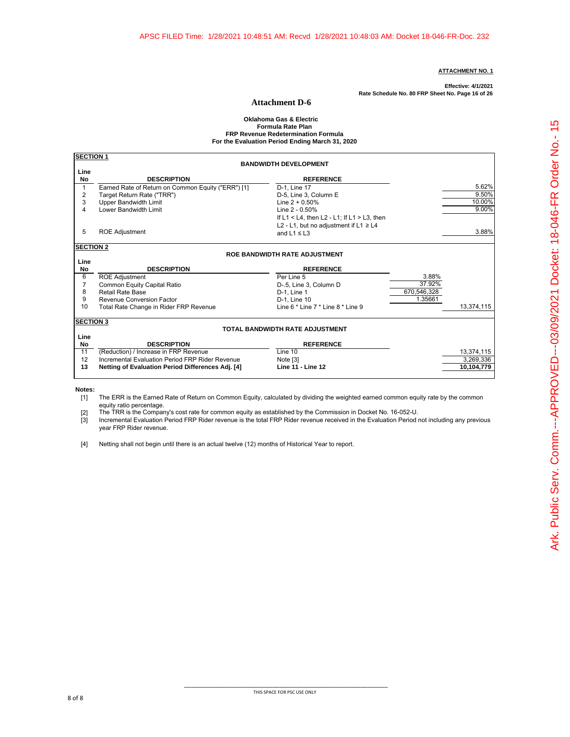**Effective: 4/1/2021 Rate Schedule No. 80 FRP Sheet No. Page 16 of 26**

#### **Attachment D-6**

#### **Formula Rate Plan FRP Revenue Redetermination Formula Oklahoma Gas & Electric For the Evaluation Period Ending March 31, 2020**

| <b>SECTION 1</b> |                                                    |                                                     |             |
|------------------|----------------------------------------------------|-----------------------------------------------------|-------------|
|                  |                                                    | <b>BANDWIDTH DEVELOPMENT</b>                        |             |
| Line             |                                                    |                                                     |             |
| No               | <b>DESCRIPTION</b>                                 | <b>REFERENCE</b>                                    |             |
|                  | Earned Rate of Return on Common Equity ("ERR") [1] | D-1, Line 17                                        | 5.62%       |
| 2                | Target Return Rate ("TRR")                         | D-5, Line 3, Column E                               | 9.50%       |
| 3                | <b>Upper Bandwidth Limit</b>                       | Line $2 + 0.50%$                                    | 10.00%      |
| 4                | Lower Bandwidth Limit                              | Line 2 - 0.50%                                      | 9.00%       |
|                  |                                                    | If $L1 < L4$ , then $L2 - L1$ ; If $L1 > L3$ , then |             |
|                  |                                                    | L2 - L1, but no adjustment if L1 $\geq$ L4          |             |
| 5                | <b>ROE Adjustment</b>                              | and $L1 \le L3$                                     | 3.88%       |
| <b>SECTION 2</b> |                                                    |                                                     |             |
|                  |                                                    | <b>ROE BANDWIDTH RATE ADJUSTMENT</b>                |             |
| Line             |                                                    |                                                     |             |
| No               | <b>DESCRIPTION</b>                                 | <b>REFERENCE</b>                                    |             |
| 6                | <b>ROE Adjustment</b>                              | Per Line 5                                          | 3.88%       |
|                  | Common Equity Capital Ratio                        | D-.5, Line 3, Column D                              | 37.92%      |
| 8                | Retail Rate Base                                   | D-1. Line 1                                         | 670,546,328 |
| 9                | Revenue Conversion Factor                          | D-1, Line 10                                        | 1.35661     |
| 10               | Total Rate Change in Rider FRP Revenue             | Line 6 * Line 7 * Line 8 * Line 9                   | 13,374,115  |
| <b>SECTION 3</b> |                                                    |                                                     |             |
|                  |                                                    | TOTAL BANDWIDTH RATE ADJUSTMENT                     |             |
| Line             |                                                    |                                                     |             |
| No               | <b>DESCRIPTION</b>                                 | <b>REFERENCE</b>                                    |             |
| 11               | (Reduction) / Increase in FRP Revenue              | Line 10                                             | 13,374,115  |
| 12               | Incremental Evaluation Period FRP Rider Revenue    | Note [3]                                            | 3,269,336   |
| 13               | Netting of Evaluation Period Differences Adj. [4]  | Line 11 - Line 12                                   | 10,104,779  |

**Notes:**

[1] The ERR is the Earned Rate of Return on Common Equity, calculated by dividing the weighted earned common equity rate by the common equity ratio percentage.

[2] The TRR is the Company's cost rate for common equity as established by the Commission in Docket No. 16-052-U.

 $\overline{[3]}$ Incremental Evaluation Period FRP Rider revenue is the total FRP Rider revenue received in the Evaluation Period not including any previous year FRP Rider revenue.

[4] Netting shall not begin until there is an actual twelve (12) months of Historical Year to report.

\_\_\_\_\_\_\_\_\_\_\_\_\_\_\_\_\_\_\_\_\_\_\_\_\_\_\_\_\_\_\_\_\_\_\_\_\_\_\_\_\_\_\_\_\_\_\_\_\_\_\_\_\_\_\_\_\_\_\_\_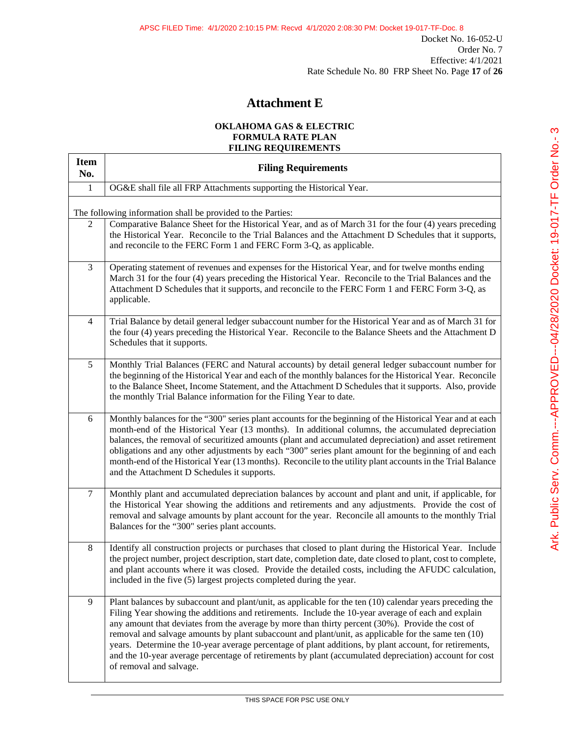# **Attachment E**

# **OKLAHOMA GAS & ELECTRIC FORMULA RATE PLAN FILING REQUIREMENTS**

| <b>Item</b><br>No. | <b>Filing Requirements</b>                                                                                                                                                                                                                                                                                                                                                                                                                                                                                                                                                                                                                                               |
|--------------------|--------------------------------------------------------------------------------------------------------------------------------------------------------------------------------------------------------------------------------------------------------------------------------------------------------------------------------------------------------------------------------------------------------------------------------------------------------------------------------------------------------------------------------------------------------------------------------------------------------------------------------------------------------------------------|
| $\mathbf{1}$       | OG&E shall file all FRP Attachments supporting the Historical Year.                                                                                                                                                                                                                                                                                                                                                                                                                                                                                                                                                                                                      |
|                    | The following information shall be provided to the Parties:                                                                                                                                                                                                                                                                                                                                                                                                                                                                                                                                                                                                              |
| $\overline{2}$     | Comparative Balance Sheet for the Historical Year, and as of March 31 for the four (4) years preceding<br>the Historical Year. Reconcile to the Trial Balances and the Attachment D Schedules that it supports,<br>and reconcile to the FERC Form 1 and FERC Form 3-Q, as applicable.                                                                                                                                                                                                                                                                                                                                                                                    |
| 3                  | Operating statement of revenues and expenses for the Historical Year, and for twelve months ending<br>March 31 for the four (4) years preceding the Historical Year. Reconcile to the Trial Balances and the<br>Attachment D Schedules that it supports, and reconcile to the FERC Form 1 and FERC Form 3-Q, as<br>applicable.                                                                                                                                                                                                                                                                                                                                           |
| $\overline{4}$     | Trial Balance by detail general ledger subaccount number for the Historical Year and as of March 31 for<br>the four (4) years preceding the Historical Year. Reconcile to the Balance Sheets and the Attachment D<br>Schedules that it supports.                                                                                                                                                                                                                                                                                                                                                                                                                         |
| 5                  | Monthly Trial Balances (FERC and Natural accounts) by detail general ledger subaccount number for<br>the beginning of the Historical Year and each of the monthly balances for the Historical Year. Reconcile<br>to the Balance Sheet, Income Statement, and the Attachment D Schedules that it supports. Also, provide<br>the monthly Trial Balance information for the Filing Year to date.                                                                                                                                                                                                                                                                            |
| 6                  | Monthly balances for the "300" series plant accounts for the beginning of the Historical Year and at each<br>month-end of the Historical Year (13 months). In additional columns, the accumulated depreciation<br>balances, the removal of securitized amounts (plant and accumulated depreciation) and asset retirement<br>obligations and any other adjustments by each "300" series plant amount for the beginning of and each<br>month-end of the Historical Year (13 months). Reconcile to the utility plant accounts in the Trial Balance<br>and the Attachment D Schedules it supports.                                                                           |
| $\tau$             | Monthly plant and accumulated depreciation balances by account and plant and unit, if applicable, for<br>the Historical Year showing the additions and retirements and any adjustments. Provide the cost of<br>removal and salvage amounts by plant account for the year. Reconcile all amounts to the monthly Trial<br>Balances for the "300" series plant accounts.                                                                                                                                                                                                                                                                                                    |
| $\,8\,$            | Identify all construction projects or purchases that closed to plant during the Historical Year. Include<br>the project number, project description, start date, completion date, date closed to plant, cost to complete,<br>and plant accounts where it was closed. Provide the detailed costs, including the AFUDC calculation,<br>included in the five (5) largest projects completed during the year.                                                                                                                                                                                                                                                                |
| 9                  | Plant balances by subaccount and plant/unit, as applicable for the ten (10) calendar years preceding the<br>Filing Year showing the additions and retirements. Include the 10-year average of each and explain<br>any amount that deviates from the average by more than thirty percent (30%). Provide the cost of<br>removal and salvage amounts by plant subaccount and plant/unit, as applicable for the same ten (10)<br>years. Determine the 10-year average percentage of plant additions, by plant account, for retirements,<br>and the 10-year average percentage of retirements by plant (accumulated depreciation) account for cost<br>of removal and salvage. |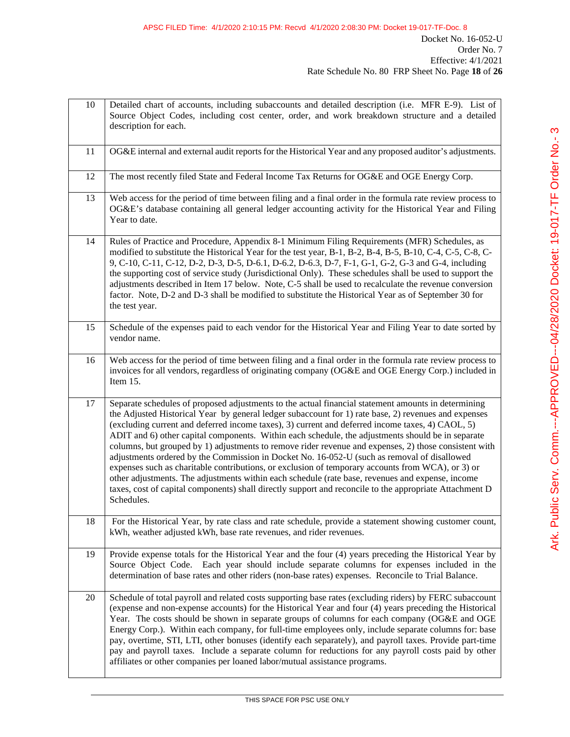| $10\,$ | Detailed chart of accounts, including subaccounts and detailed description (i.e. MFR E-9). List of<br>Source Object Codes, including cost center, order, and work breakdown structure and a detailed<br>description for each.                                                                                                                                                                                                                                                                                                                                                                                                                                                                                                                                                                                                                                                                                                                                  |
|--------|----------------------------------------------------------------------------------------------------------------------------------------------------------------------------------------------------------------------------------------------------------------------------------------------------------------------------------------------------------------------------------------------------------------------------------------------------------------------------------------------------------------------------------------------------------------------------------------------------------------------------------------------------------------------------------------------------------------------------------------------------------------------------------------------------------------------------------------------------------------------------------------------------------------------------------------------------------------|
| 11     | OG&E internal and external audit reports for the Historical Year and any proposed auditor's adjustments.                                                                                                                                                                                                                                                                                                                                                                                                                                                                                                                                                                                                                                                                                                                                                                                                                                                       |
| 12     | The most recently filed State and Federal Income Tax Returns for OG&E and OGE Energy Corp.                                                                                                                                                                                                                                                                                                                                                                                                                                                                                                                                                                                                                                                                                                                                                                                                                                                                     |
| 13     | Web access for the period of time between filing and a final order in the formula rate review process to<br>OG&E's database containing all general ledger accounting activity for the Historical Year and Filing<br>Year to date.                                                                                                                                                                                                                                                                                                                                                                                                                                                                                                                                                                                                                                                                                                                              |
| 14     | Rules of Practice and Procedure, Appendix 8-1 Minimum Filing Requirements (MFR) Schedules, as<br>modified to substitute the Historical Year for the test year, B-1, B-2, B-4, B-5, B-10, C-4, C-5, C-8, C-<br>9, C-10, C-11, C-12, D-2, D-3, D-5, D-6.1, D-6.2, D-6.3, D-7, F-1, G-1, G-2, G-3 and G-4, including<br>the supporting cost of service study (Jurisdictional Only). These schedules shall be used to support the<br>adjustments described in Item 17 below. Note, C-5 shall be used to recalculate the revenue conversion<br>factor. Note, D-2 and D-3 shall be modified to substitute the Historical Year as of September 30 for<br>the test year.                                                                                                                                                                                                                                                                                               |
| 15     | Schedule of the expenses paid to each vendor for the Historical Year and Filing Year to date sorted by<br>vendor name.                                                                                                                                                                                                                                                                                                                                                                                                                                                                                                                                                                                                                                                                                                                                                                                                                                         |
| 16     | Web access for the period of time between filing and a final order in the formula rate review process to<br>invoices for all vendors, regardless of originating company (OG&E and OGE Energy Corp.) included in<br>Item 15.                                                                                                                                                                                                                                                                                                                                                                                                                                                                                                                                                                                                                                                                                                                                    |
| 17     | Separate schedules of proposed adjustments to the actual financial statement amounts in determining<br>the Adjusted Historical Year by general ledger subaccount for 1) rate base, 2) revenues and expenses<br>(excluding current and deferred income taxes), 3) current and deferred income taxes, 4) CAOL, 5)<br>ADIT and 6) other capital components. Within each schedule, the adjustments should be in separate<br>columns, but grouped by 1) adjustments to remove rider revenue and expenses, 2) those consistent with<br>adjustments ordered by the Commission in Docket No. 16-052-U (such as removal of disallowed<br>expenses such as charitable contributions, or exclusion of temporary accounts from WCA), or 3) or<br>other adjustments. The adjustments within each schedule (rate base, revenues and expense, income<br>taxes, cost of capital components) shall directly support and reconcile to the appropriate Attachment D<br>Schedules. |
| 18     | For the Historical Year, by rate class and rate schedule, provide a statement showing customer count,<br>kWh, weather adjusted kWh, base rate revenues, and rider revenues.                                                                                                                                                                                                                                                                                                                                                                                                                                                                                                                                                                                                                                                                                                                                                                                    |
| 19     | Provide expense totals for the Historical Year and the four (4) years preceding the Historical Year by<br>Source Object Code. Each year should include separate columns for expenses included in the<br>determination of base rates and other riders (non-base rates) expenses. Reconcile to Trial Balance.                                                                                                                                                                                                                                                                                                                                                                                                                                                                                                                                                                                                                                                    |
| $20\,$ | Schedule of total payroll and related costs supporting base rates (excluding riders) by FERC subaccount<br>(expense and non-expense accounts) for the Historical Year and four (4) years preceding the Historical<br>Year. The costs should be shown in separate groups of columns for each company (OG&E and OGE<br>Energy Corp.). Within each company, for full-time employees only, include separate columns for: base<br>pay, overtime, STI, LTI, other bonuses (identify each separately), and payroll taxes. Provide part-time<br>pay and payroll taxes. Include a separate column for reductions for any payroll costs paid by other<br>affiliates or other companies per loaned labor/mutual assistance programs.                                                                                                                                                                                                                                      |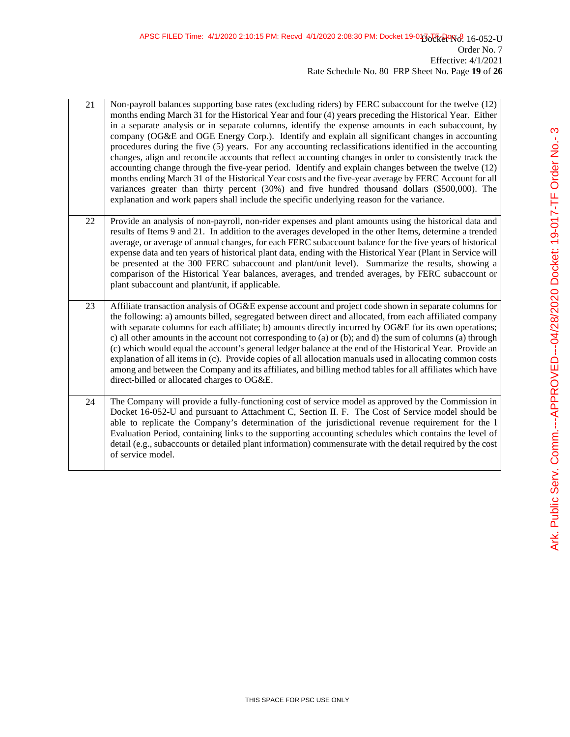| 21 | Non-payroll balances supporting base rates (excluding riders) by FERC subaccount for the twelve (12)<br>months ending March 31 for the Historical Year and four (4) years preceding the Historical Year. Either<br>in a separate analysis or in separate columns, identify the expense amounts in each subaccount, by<br>company (OG&E and OGE Energy Corp.). Identify and explain all significant changes in accounting<br>procedures during the five (5) years. For any accounting reclassifications identified in the accounting<br>changes, align and reconcile accounts that reflect accounting changes in order to consistently track the<br>accounting change through the five-year period. Identify and explain changes between the twelve (12)<br>months ending March 31 of the Historical Year costs and the five-year average by FERC Account for all<br>variances greater than thirty percent (30%) and five hundred thousand dollars (\$500,000). The<br>explanation and work papers shall include the specific underlying reason for the variance. |
|----|------------------------------------------------------------------------------------------------------------------------------------------------------------------------------------------------------------------------------------------------------------------------------------------------------------------------------------------------------------------------------------------------------------------------------------------------------------------------------------------------------------------------------------------------------------------------------------------------------------------------------------------------------------------------------------------------------------------------------------------------------------------------------------------------------------------------------------------------------------------------------------------------------------------------------------------------------------------------------------------------------------------------------------------------------------------|
| 22 | Provide an analysis of non-payroll, non-rider expenses and plant amounts using the historical data and<br>results of Items 9 and 21. In addition to the averages developed in the other Items, determine a trended<br>average, or average of annual changes, for each FERC subaccount balance for the five years of historical<br>expense data and ten years of historical plant data, ending with the Historical Year (Plant in Service will<br>be presented at the 300 FERC subaccount and plant/unit level). Summarize the results, showing a<br>comparison of the Historical Year balances, averages, and trended averages, by FERC subaccount or<br>plant subaccount and plant/unit, if applicable.                                                                                                                                                                                                                                                                                                                                                         |
| 23 | Affiliate transaction analysis of OG&E expense account and project code shown in separate columns for<br>the following: a) amounts billed, segregated between direct and allocated, from each affiliated company<br>with separate columns for each affiliate; b) amounts directly incurred by OG&E for its own operations;<br>c) all other amounts in the account not corresponding to (a) or (b); and d) the sum of columns (a) through<br>(c) which would equal the account's general ledger balance at the end of the Historical Year. Provide an<br>explanation of all items in (c). Provide copies of all allocation manuals used in allocating common costs<br>among and between the Company and its affiliates, and billing method tables for all affiliates which have<br>direct-billed or allocated charges to OG&E.                                                                                                                                                                                                                                    |
| 24 | The Company will provide a fully-functioning cost of service model as approved by the Commission in<br>Docket 16-052-U and pursuant to Attachment C, Section II. F. The Cost of Service model should be<br>able to replicate the Company's determination of the jurisdictional revenue requirement for the 1<br>Evaluation Period, containing links to the supporting accounting schedules which contains the level of<br>detail (e.g., subaccounts or detailed plant information) commensurate with the detail required by the cost<br>of service model.                                                                                                                                                                                                                                                                                                                                                                                                                                                                                                        |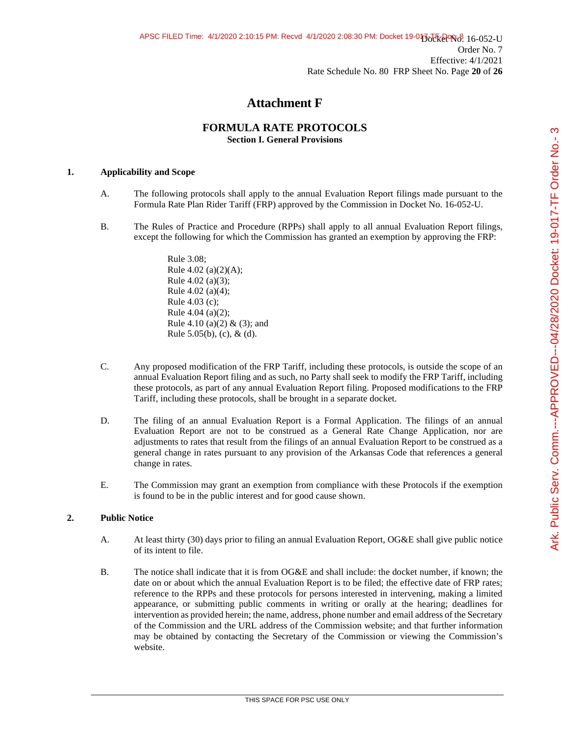# **Attachment F**

# **FORMULA RATE PROTOCOLS Section I. General Provisions**

# **1. Applicability and Scope**

- A. The following protocols shall apply to the annual Evaluation Report filings made pursuant to the Formula Rate Plan Rider Tariff (FRP) approved by the Commission in Docket No. 16-052-U.
- B. The Rules of Practice and Procedure (RPPs) shall apply to all annual Evaluation Report filings, except the following for which the Commission has granted an exemption by approving the FRP:

Rule 3.08; Rule  $4.02$  (a)(2)(A); Rule 4.02 (a)(3); Rule 4.02 (a)(4); Rule 4.03 (c); Rule 4.04 (a)(2); Rule 4.10 (a)(2) & (3); and Rule 5.05(b), (c), & (d).

- C. Any proposed modification of the FRP Tariff, including these protocols, is outside the scope of an annual Evaluation Report filing and as such, no Party shall seek to modify the FRP Tariff, including these protocols, as part of any annual Evaluation Report filing. Proposed modifications to the FRP Tariff, including these protocols, shall be brought in a separate docket.
- D. The filing of an annual Evaluation Report is a Formal Application. The filings of an annual Evaluation Report are not to be construed as a General Rate Change Application, nor are adjustments to rates that result from the filings of an annual Evaluation Report to be construed as a general change in rates pursuant to any provision of the Arkansas Code that references a general change in rates.
- E. The Commission may grant an exemption from compliance with these Protocols if the exemption is found to be in the public interest and for good cause shown.

# **2. Public Notice**

- A. At least thirty (30) days prior to filing an annual Evaluation Report, OG&E shall give public notice of its intent to file.
- B. The notice shall indicate that it is from OG&E and shall include: the docket number, if known; the date on or about which the annual Evaluation Report is to be filed; the effective date of FRP rates; reference to the RPPs and these protocols for persons interested in intervening, making a limited appearance, or submitting public comments in writing or orally at the hearing; deadlines for intervention as provided herein; the name, address, phone number and email address of the Secretary of the Commission and the URL address of the Commission website; and that further information may be obtained by contacting the Secretary of the Commission or viewing the Commission's website.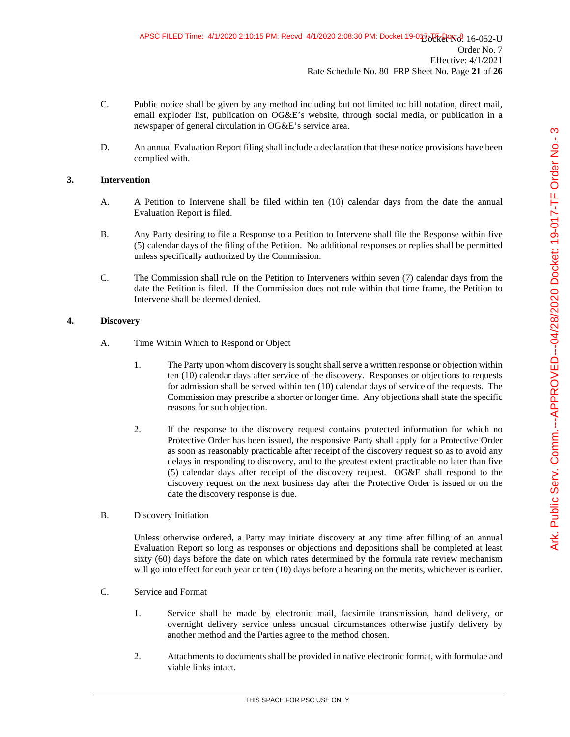- C. Public notice shall be given by any method including but not limited to: bill notation, direct mail, email exploder list, publication on OG&E's website, through social media, or publication in a newspaper of general circulation in OG&E's service area.
- D. An annual Evaluation Report filing shall include a declaration that these notice provisions have been complied with.

## **3. Intervention**

- A. A Petition to Intervene shall be filed within ten (10) calendar days from the date the annual Evaluation Report is filed.
- B. Any Party desiring to file a Response to a Petition to Intervene shall file the Response within five (5) calendar days of the filing of the Petition. No additional responses or replies shall be permitted unless specifically authorized by the Commission.
- C. The Commission shall rule on the Petition to Interveners within seven (7) calendar days from the date the Petition is filed. If the Commission does not rule within that time frame, the Petition to Intervene shall be deemed denied.

# **4. Discovery**

- A. Time Within Which to Respond or Object
	- 1. The Party upon whom discovery is sought shall serve a written response or objection within ten (10) calendar days after service of the discovery. Responses or objections to requests for admission shall be served within ten (10) calendar days of service of the requests. The Commission may prescribe a shorter or longer time. Any objections shall state the specific reasons for such objection.
	- 2. If the response to the discovery request contains protected information for which no Protective Order has been issued, the responsive Party shall apply for a Protective Order as soon as reasonably practicable after receipt of the discovery request so as to avoid any delays in responding to discovery, and to the greatest extent practicable no later than five (5) calendar days after receipt of the discovery request. OG&E shall respond to the discovery request on the next business day after the Protective Order is issued or on the date the discovery response is due.
- B. Discovery Initiation

Unless otherwise ordered, a Party may initiate discovery at any time after filling of an annual Evaluation Report so long as responses or objections and depositions shall be completed at least sixty (60) days before the date on which rates determined by the formula rate review mechanism will go into effect for each year or ten (10) days before a hearing on the merits, whichever is earlier.

- C. Service and Format
	- 1. Service shall be made by electronic mail, facsimile transmission, hand delivery, or overnight delivery service unless unusual circumstances otherwise justify delivery by another method and the Parties agree to the method chosen.
	- 2. Attachments to documents shall be provided in native electronic format, with formulae and viable links intact.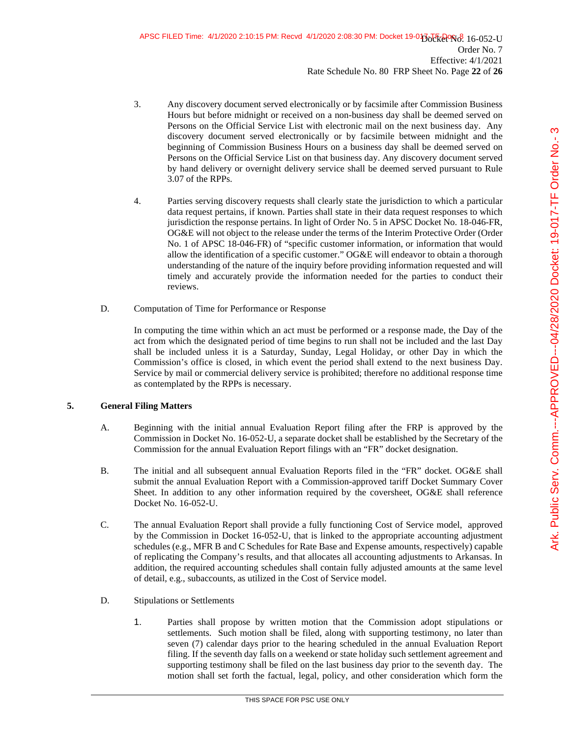- 3. Any discovery document served electronically or by facsimile after Commission Business Hours but before midnight or received on a non-business day shall be deemed served on Persons on the Official Service List with electronic mail on the next business day. Any discovery document served electronically or by facsimile between midnight and the beginning of Commission Business Hours on a business day shall be deemed served on Persons on the Official Service List on that business day. Any discovery document served by hand delivery or overnight delivery service shall be deemed served pursuant to Rule 3.07 of the RPPs.
- 4. Parties serving discovery requests shall clearly state the jurisdiction to which a particular data request pertains, if known. Parties shall state in their data request responses to which jurisdiction the response pertains. In light of Order No. 5 in APSC Docket No. 18-046-FR, OG&E will not object to the release under the terms of the Interim Protective Order (Order No. 1 of APSC 18-046-FR) of "specific customer information, or information that would allow the identification of a specific customer." OG&E will endeavor to obtain a thorough understanding of the nature of the inquiry before providing information requested and will timely and accurately provide the information needed for the parties to conduct their reviews.
- D. Computation of Time for Performance or Response

In computing the time within which an act must be performed or a response made, the Day of the act from which the designated period of time begins to run shall not be included and the last Day shall be included unless it is a Saturday, Sunday, Legal Holiday, or other Day in which the Commission's office is closed, in which event the period shall extend to the next business Day. Service by mail or commercial delivery service is prohibited; therefore no additional response time as contemplated by the RPPs is necessary.

# **5. General Filing Matters**

- A. Beginning with the initial annual Evaluation Report filing after the FRP is approved by the Commission in Docket No. 16-052-U, a separate docket shall be established by the Secretary of the Commission for the annual Evaluation Report filings with an "FR" docket designation.
- B. The initial and all subsequent annual Evaluation Reports filed in the "FR" docket. OG&E shall submit the annual Evaluation Report with a Commission-approved tariff Docket Summary Cover Sheet. In addition to any other information required by the coversheet, OG&E shall reference Docket No. 16-052-U.
- C. The annual Evaluation Report shall provide a fully functioning Cost of Service model, approved by the Commission in Docket 16-052-U, that is linked to the appropriate accounting adjustment schedules (e.g., MFR B and C Schedules for Rate Base and Expense amounts, respectively) capable of replicating the Company's results, and that allocates all accounting adjustments to Arkansas. In addition, the required accounting schedules shall contain fully adjusted amounts at the same level of detail, e.g., subaccounts, as utilized in the Cost of Service model.
- D. Stipulations or Settlements
	- 1. Parties shall propose by written motion that the Commission adopt stipulations or settlements. Such motion shall be filed, along with supporting testimony, no later than seven (7) calendar days prior to the hearing scheduled in the annual Evaluation Report filing. If the seventh day falls on a weekend or state holiday such settlement agreement and supporting testimony shall be filed on the last business day prior to the seventh day. The motion shall set forth the factual, legal, policy, and other consideration which form the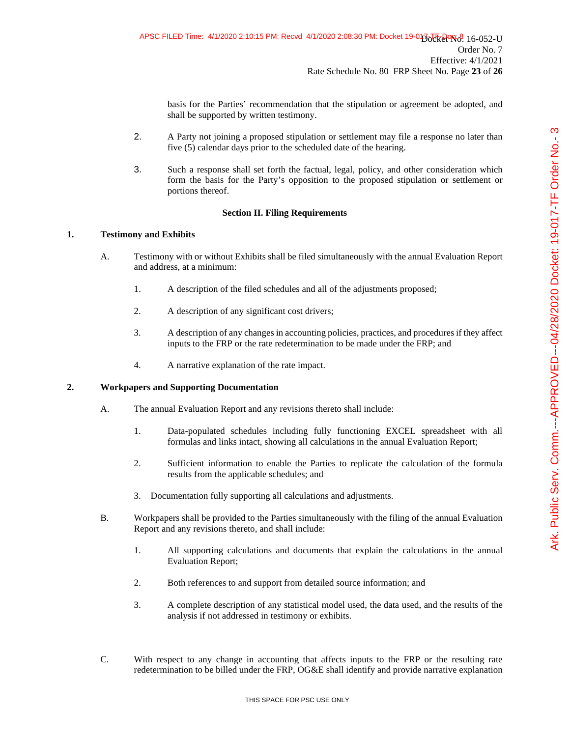basis for the Parties' recommendation that the stipulation or agreement be adopted, and shall be supported by written testimony.

- 2. A Party not joining a proposed stipulation or settlement may file a response no later than five (5) calendar days prior to the scheduled date of the hearing.
- 3. Such a response shall set forth the factual, legal, policy, and other consideration which form the basis for the Party's opposition to the proposed stipulation or settlement or portions thereof.

# **Section II. Filing Requirements**

# **1. Testimony and Exhibits**

- A. Testimony with or without Exhibits shall be filed simultaneously with the annual Evaluation Report and address, at a minimum:
	- 1. A description of the filed schedules and all of the adjustments proposed;
	- 2. A description of any significant cost drivers;
	- 3. A description of any changes in accounting policies, practices, and procedures if they affect inputs to the FRP or the rate redetermination to be made under the FRP; and
	- 4. A narrative explanation of the rate impact.

# **2. Workpapers and Supporting Documentation**

- A. The annual Evaluation Report and any revisions thereto shall include:
	- 1. Data-populated schedules including fully functioning EXCEL spreadsheet with all formulas and links intact, showing all calculations in the annual Evaluation Report;
	- 2. Sufficient information to enable the Parties to replicate the calculation of the formula results from the applicable schedules; and
	- 3. Documentation fully supporting all calculations and adjustments.
- B. Workpapers shall be provided to the Parties simultaneously with the filing of the annual Evaluation Report and any revisions thereto, and shall include:
	- 1. All supporting calculations and documents that explain the calculations in the annual Evaluation Report;
	- 2. Both references to and support from detailed source information; and
	- 3. A complete description of any statistical model used, the data used, and the results of the analysis if not addressed in testimony or exhibits.
- C. With respect to any change in accounting that affects inputs to the FRP or the resulting rate redetermination to be billed under the FRP, OG&E shall identify and provide narrative explanation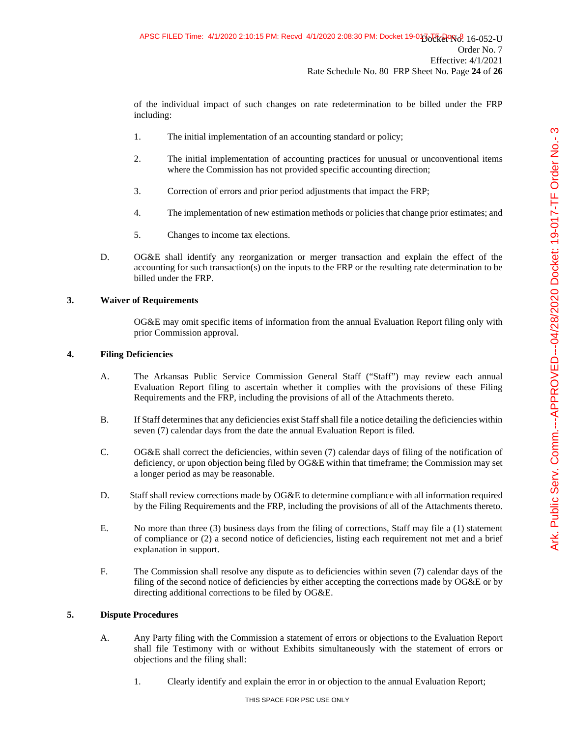of the individual impact of such changes on rate redetermination to be billed under the FRP including:

- 1. The initial implementation of an accounting standard or policy;
- 2. The initial implementation of accounting practices for unusual or unconventional items where the Commission has not provided specific accounting direction;
- 3. Correction of errors and prior period adjustments that impact the FRP;
- 4. The implementation of new estimation methods or policies that change prior estimates; and
- 5. Changes to income tax elections.
- D. OG&E shall identify any reorganization or merger transaction and explain the effect of the accounting for such transaction(s) on the inputs to the FRP or the resulting rate determination to be billed under the FRP.

# **3. Waiver of Requirements**

OG&E may omit specific items of information from the annual Evaluation Report filing only with prior Commission approval.

# **4. Filing Deficiencies**

- A. The Arkansas Public Service Commission General Staff ("Staff") may review each annual Evaluation Report filing to ascertain whether it complies with the provisions of these Filing Requirements and the FRP, including the provisions of all of the Attachments thereto.
- B. If Staff determines that any deficiencies exist Staff shall file a notice detailing the deficiencies within seven (7) calendar days from the date the annual Evaluation Report is filed.
- C. OG&E shall correct the deficiencies, within seven (7) calendar days of filing of the notification of deficiency, or upon objection being filed by OG&E within that timeframe; the Commission may set a longer period as may be reasonable.
- D. Staff shall review corrections made by OG&E to determine compliance with all information required by the Filing Requirements and the FRP, including the provisions of all of the Attachments thereto.
- E. No more than three (3) business days from the filing of corrections, Staff may file a (1) statement of compliance or (2) a second notice of deficiencies, listing each requirement not met and a brief explanation in support.
- F. The Commission shall resolve any dispute as to deficiencies within seven (7) calendar days of the filing of the second notice of deficiencies by either accepting the corrections made by OG&E or by directing additional corrections to be filed by OG&E.

# **5. Dispute Procedures**

- A. Any Party filing with the Commission a statement of errors or objections to the Evaluation Report shall file Testimony with or without Exhibits simultaneously with the statement of errors or objections and the filing shall:
	- 1. Clearly identify and explain the error in or objection to the annual Evaluation Report;